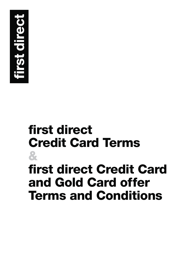

## **& first direct Credit Card Terms first direct Credit Card and Gold Card offer Terms and Conditions**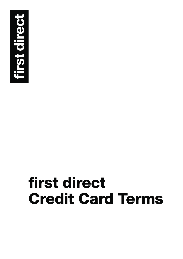

# **first direct Credit Card Terms**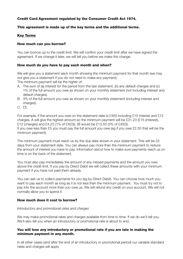#### **Credit Card Agreement regulated by the Consumer Credit Act 1974.**

#### **This agreement is made up of the key terms and the additional terms.**

#### **Key Terms**

#### **How much can you borrow?**

You can borrow up to the credit limit. We will confirm your credit limit after we have signed the agreement. If we change it later, we will tell you before we make the change.

#### **How much do you have to pay each month and when?**

We will give you a statement each month showing the minimum payment for that month (we may not give you a statement if you do not need to make any payment).

The minimum payment will be the higher of:

- A. The sum of (a) interest for the period from the last statement, (b) any default charges and (c) 1% of the full amount you owe as shown on your monthly statement (not including interest and default charges).
- B. 3% of the full amount you owe as shown on your monthly statement (including interest and charges).
- C. £5.

For example, if the amount you owe on the statement date is £450 including £15 interest and £12 charges, A will give the highest amount so the minimum payment will be £31.23 (£15 (interest), £12 (charges) and £4.23 (1% of £423)). (B would be £13.50 (3% of £450)). If you owe less than £5 you must pay the full amount you owe (eg if you owe £2.50 that will be the

minimum payment).

The minimum payment must reach us by the due date shown in your statement. This will be 25 days from your statement date. You can always pay more than the minimum payment to reduce the amount of interest you have to pay. Information about how to make sure payments reach us on time is on the back of the statement.

You must also pay immediately the amount of any missed payments and the amount you owe above the credit limit. If you pay by Direct Debit we will collect these amounts with your minimum payment if you have not paid them already.

You can ask us to collect payments for you (eg by Direct Debit). You can choose how much you want to pay each month as long as it is not less than the minimum payment. You must try not to pay into the account more than you owe us. We will refund any credit on your account. We will not normally allow you to spend it.

#### **How much does it cost to borrow?**

#### Introductory and promotional rates and charges

We may make promotional rates and charges available from time to time. If we do we'll tell you. We'll also tell you when an introductory or promotional rate is about to end.

#### **You will lose any introductory or promotional rate if you are late in making the minimum payment in any month.**

In all other cases (and after the end of an introductory or promotional period) our variable standard rates and charges will apply.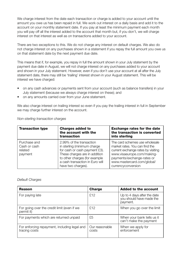We charge interest from the date each transaction or charge is added to your account until the amount you owe us has been repaid in full. We work out interest on a daily basis and add it to the account on your monthly statement date. If you pay at least the minimum payment each month you will pay off all the interest added to the account that month but, if you don't, we will charge interest on that interest as well as on transactions added to your account.

There are two exceptions to this. We do not charge any interest on default charges. We also do not charge interest on any purchases shown in a statement if you repay the full amount you owe us on that statement date by the next payment due date.

This means that if, for example, you repay in full the amount shown in your July statement by the payment due date in August, we will not charge interest on any purchases added to your account and shown in your July statement. However, even if you don't use your account at all after the July statement date, there may still be 'trailing' interest shown in your August statement. This will be interest we have charged:

- on any cash advances or payments sent from your account (such as balance transfers) in your July statement (because we always charge interest on these); and
- on any amounts carried over from your June statement.

We also charge interest on trailing interest so even if you pay the trailing interest in full in September we may charge further interest on the account.

| <b>Transaction type</b>                            | <b>Charges added to</b><br>the account with the<br>transaction                                                                                                                                                      | <b>Exchange rates for the date</b><br>the transaction is converted<br>into sterling                                                                                                                                    |
|----------------------------------------------------|---------------------------------------------------------------------------------------------------------------------------------------------------------------------------------------------------------------------|------------------------------------------------------------------------------------------------------------------------------------------------------------------------------------------------------------------------|
| Purchase and<br>Cash or cash<br>related<br>payment | 2.99% of the transaction<br>in sterling (minimum charge<br>for cash or cash payment £3).<br>These charges are in addition<br>to other charges (for example<br>a cash transaction in Euro will<br>have two charges). | The card schemes use wholesale<br>market rates. You can find the<br>current exchange rates by visiting<br>www.visaeurope.com/making-<br>payments/exchange-rates or<br>www.mastercard.com/global/<br>currencyconversion |

#### Non-sterling transaction charges

#### Default Charges

| Reason                                                        | Charge                  | <b>Added to the account</b>                                         |
|---------------------------------------------------------------|-------------------------|---------------------------------------------------------------------|
| For paying late                                               | £12                     | Up to 4 days after the date<br>you should have made the<br>payment. |
| For going over the credit limit (even if we<br>permit it)     | £12                     | When you go over the limit                                          |
| For payments which are returned unpaid                        | £5                      | When your bank tells us it<br>can't make the payment                |
| For enforcing repayment, including legal and<br>tracing costs | Our reasonable<br>costs | When we apply for<br>enforcement                                    |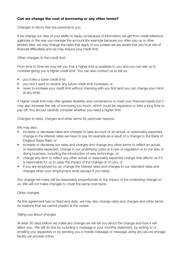#### **Can we change the cost of borrowing or any other terms?**

#### Changes to terms that are personal to you

If we change our view of your ability to repay us because of information we get from credit reference agencies or the way you manage the account (for example because you often pay us or other lenders late), we may change the rates that apply to you (unless we are aware that you're at risk of financial difficulties) and we may reduce your credit limit.

#### Other changes to the credit limit

From time to time we may tell you that a higher limit is available to you and you can ask us to consider giving you a higher credit limit. You can also contact us to tell us:

- vou'd like a lower credit limit:
- you don't want to receive any future credit limit increases; or
- never to increase your credit limit without checking with you first (and you can change your mind at any time).

A higher credit limit may offer greater flexibility and convenience to meet your financial needs but it may also increase the risk of borrowing too much, which could be expensive or take a long time to pay off. You should carefully consider whether you need a higher limit.

#### Changes to rates, charges and other terms for particular reasons

We may also:

- increase or decrease rates and charges to take account of an actual, or reasonably expected, change in the interest rates we have to pay for example as a result of a change to the Bank of England Base Rate; or
- increase or decrease our rates and charges and change any other terms to reflect an actual, or reasonably expected, change in our underlying costs or in law or regulation or to our way of doing business, including the introduction of new technology; or
- change any term to reflect any other actual or reasonably expected change that affects us if it is reasonable for us to pass the impact of the change on to you; or
- if you are employed by us, change the interest rates and charges to our standard rates and charges when your employment ends (except if you retire).

Any change we make will be reasonably proportionate to the impact of the underlying change on us. We will not make changes to cover the same cost twice.

#### Other changes

As this agreement has no fixed end date, we may also change rates and charges and other terms for reasons that we cannot predict at the outset.

#### Telling you about changes

At least 30 days before we make any change we will tell you about the change and how it will affect you. We will do this by including a message in your monthly statement, by writing to or emailing you separately or by sending you a mobile message or message using any secure storage facility we provide online.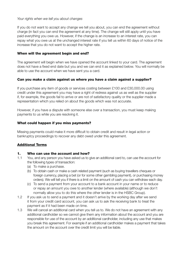#### Your rights when we tell you about changes

If you do not want to accept any change we tell you about, you can end the agreement without charge (in fact you can end the agreement at any time). The change will still apply until you have paid everything you owe us. However, if the change is an increase to an interest rate, you can repay what you owe us at the unchanged interest rate if you tell us within 60 days of notice of the increase that you do not want to accept the higher rate.

#### **When will the agreement begin and end?**

The agreement will begin when we have opened the account linked to your card. The agreement does not have a fixed end date but you and we can end it as explained below. You will normally be able to use the account when we have sent you a card.

#### **Can you make a claim against us where you have a claim against a supplier?**

If you purchase any item of goods or services costing between £100 and £30,000.00 using credit under this agreement you may have a right of redress against us as well as the supplier if, for example, the goods fail to arrive or are not of satisfactory quality or the supplier made a representation which you relied on about the goods which was not accurate.

However, if you have a dispute with someone else over a transaction, you must keep making payments to us while you are resolving it.

#### **What could happen if you miss payments?**

Missing payments could make it more difficult to obtain credit and result in legal action or bankruptcy proceedings to recover any debt owed under this agreement.

#### **Additional Terms**

#### **1. Who can use the account and how?**

- 1.1 You, and any person you have asked us to give an additional card to, can use the account for the following types of transaction:
	- (a) To make a purchase.
	- (b) To obtain cash or make a cash related payment (such as buying travellers cheques or foreign currency, placing a bet (or for some other gambling payment), or purchasing money orders). We will tell you if there is a limit on the amount of cash you can withdraw each day.
	- (c) To send a payment from your account to a bank account in your name or to reduce or repay an amount you owe to another lender (where available) (although we don't normally allow you to do this where the other lender is in the HSBC Group).
- 1.2 If you ask us to send a payment and it doesn't arrive by the working day after we send it from your credit card account, you can ask us to ask the receiving bank to treat the payment as if it had been made on time.
- 1.3 We will cancel an additional card when you tell us to. We do not have an agreement with any additional cardholder so we cannot give them any information about the account and you are responsible for use of the account by an additional cardholder, including any use that makes you break this agreement. For example if an additional cardholder makes a payment that takes the amount on the account over the credit limit you will be liable.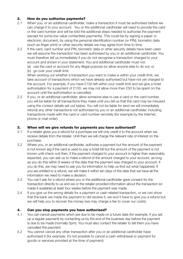### **2. How do you authorise payments?**<br>2.1 When you or an additional cardbolder

- When you, or an additional cardholder, make a transaction it must be authorised before we can charge it to your account. You or the additional cardholder will need to provide the card or the card number and will be told the additional steps needed to authorise the payment (except for some low value contactless payments). This could be by signing a paper or electronic document, by using the personal identification number (or PIN), biometric data (such as finger print) or other security details we may agree from time to time.
- 2.2 If the card, card number and PIN, biometric data or other security details have been used we will assume the transaction has been authorised by you or an additional cardholder. You must therefore tell us immediately if you do not recognise a transaction charged to your account and shown in your statement. You and additional cardholder must not:

 (a) use the card or account for any illegal purpose (or allow anyone else to do so); or (b) go over your credit limit.

When working out whether a transaction you want to make is within your credit limit, we take account of transactions which we have already authorised but have not yet charged to the account. For example, if you have £150 left within your credit limit and we give a hotel authorisation for a payment of £100, we may not allow more than £50 to be spent on the account until the authorisation is cancelled.

2.3 If you, or an additional cardholder, allow someone else to use a card or the card number, you will be liable for all transactions they make until you tell us that the card may be misused using the contact details set out below. You will not be liable for (and we will immediately refund) any other transactions not authorised by you or an additional cardholder, including transactions made with the card or card number remotely (for example by the Internet, phone or mail order).

#### **3. When will we give refunds for payments you have authorised?**

- 3.1 If a retailer gives you a refund for a purchase we will only credit it to the account when we receive details from the retailer. Until then we will charge the relevant rate of interest on the purchase.
- 3.2 Where you, or an additional cardholder, authorise a payment but the amount of the payment is not known (eg if the card is used to pay a hotel bill but the amount of the payment is not known until check out) then, if the payment charged to your account is higher than reasonably expected, you can ask us to make a refund of the amount charged to your account, as long as you do this within 8 weeks of the date that the payment was charged to your account. If you do this, we may need to ask you for information to help us find out what happened. If you are entitled to a refund, we will make it within ten days of the date that we have all the information we need to make a decision.
- 3.3 You can't ask for a refund where you or the additional cardholder gave consent for the transaction directly to us and we or the retailer provided information about the transaction (or made it available) at least four weeks before the payment was made.
- 3.4 If you give us the wrong details for a payment or cash related transaction, or we can show that the bank we made the payment to did receive it, we won't have to give you a refund but we will help you to recover the money (we may charge a fee to cover our costs).

#### **4. Can you stop payments you have authorised?**

- 4.1 You can cancel payments which are due to be made on a future date (for example, if you set up a regular payment) by contacting us by the end of the business day before the payment is due to be made (normally 5pm). You must also contact the retailer to tell them you have cancelled the payment.
- 4.2 You cannot cancel any other transaction after you or an additional cardholder have authorised it (for example, it's not possible to cancel a cash withdrawal or payment for goods or services provided at the time of payment).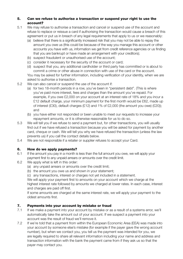#### **5. Can we refuse to authorise a transaction or suspend your right to use the account?**

- 5.1 We may refuse to authorise a transaction and cancel or suspend use of the account and refuse to replace or reissue a card if authorising the transaction would cause a breach of this agreement or put us in breach of any legal requirements that apply to us or we reasonably:
	- (a) believe that there is a significantly increased risk that you may not be able to repay the amount you owe us (this could be because of the way you manage this account or other accounts you have with us, information we get from credit reference agencies or us finding that you are bankrupt or have made an arrangement with your creditors);
	- (b) suspect fraudulent or unauthorised use of the account;
	- (c) consider it necessary for the security of the account or card;
	- (d) suspect that you, any additional cardholder or third party has committed or is about to commit a crime or other abuse in connection with use of the card or the account.

 You may be asked for further information, including verification of your identity, when we are asked to authorise a transaction.

- 5.2 We can also cancel or suspend the use of the account if:
	- (a) for two 18-month periods in a row, you've been in "persistent debt". (This is where you've paid more interest, fees and charges than the amount you've repaid. For example, if you owe £2,000 on your account at an interest rate of 18% and you incur a £12 default charge, your minimum payment for the first month would be £62, made up of interest (£30), default charges (£12) and 1% of £2,000 (the amount you owe) (£20)); and
	- (b) you have either not responded or been unable to meet our requests to increase your repayment amounts, or it is otherwise reasonable for us to do so.
- 5.3 We will tell you if we refuse to send a payment but, for other transactions, you will usually find out if we have refused a transaction because you will be asked for payment by another card, cheque or cash. We will tell you why we have refused the transaction (unless the law prevents us) if you call the contact details below.
- 5.4 We are not responsible if a retailer or supplier refuses to accept your Card.

#### **6. How do we apply payments?**

- 6.1 If the amount you pay in a month is less than the full amount you owe, we will apply your payment first to any unpaid arrears or amounts over the credit limit.
- 6.2 We apply what is left in this order:
	- (a) any unpaid arrears or amounts over the credit limit;
	- (b) the amount you owe us and shown in your statement;
	- (c) any transactions, interest or charges not yet included in a statement.

 We will apply your payment first to amounts on your account which we charge at the highest interest rate followed by amounts we charged at lower rates. In each case, interest and charges are paid off first.

 If some amounts are charged at the same interest rate, we will apply your payment to the oldest amounts first.

#### **7. Payments into your account by mistake or fraud**

- 7.1 If we make a payment into your account by mistake or as a result of a systems error, we'll automatically take the amount out of your account. If we suspect a payment into your account was the result of fraud we'll remove it.
- 7.2 If we're told that a payment from within the European Economic Area (EEA) was made into your account by someone else's mistake (for example if the payer gave the wrong account number), but when we contact you, you tell us the payment was intended for you, we are legally required to share all relevant information including your name and address and transaction information with the bank the payment came from if they ask us so that the payer may contact you.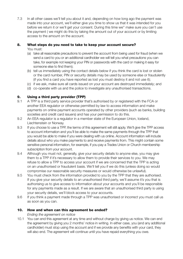7.3 In all other cases we'll tell you about it and, depending on how long ago the payment was made into your account, we'll either give you time to show us that it was intended for you before we return it or we'll get your consent. During this time we'' make sure you can't use the payment ( we might do this by taking the amount out of your account or by limiting access to the amount on the account.

#### **8. What steps do you need to take to keep your account secure?**

You must:

- (a) take all reasonable precautions to prevent the account from being used for fraud (when we send a card to you or an additional cardholder we will tell you what precautions you can take, for example not keeping your PIN or passwords with the card or making it easy for someone else to find them);
- (b) tell us immediately using the contact details below if you think the card is lost or stolen or the card number, PIN or security details may be used by someone else or fraudulently (if you find a card you have reported as lost you must destroy it and not use it);
- (c) if we ask, make sure all cards issued on your account are destroyed immediately; and
- (d) co-operate with us and the police to investigate any unauthorised transactions.

#### **9. Using a third party provider (TPP)**

- 9.1 A TPP is a third party service provider that's authorised by or registered with the FCA or another EEA regulator or otherwise permitted by law to access information and make payments on online payment accounts operated by other providers (such as banks, building societies and credit card issuers) and has your permission to do this.
- 9.2 An EEA regulator is a regulator in a member state of the European Union, Iceland, Liechtenstein or Norway.
- 9.3 If you choose to use a TPP, the terms of this agreement will still apply. We'll give the TPP access to account information and you'll be able to make the same payments through the TPP that you would be able to make if you were dealing with us online. Account information will include details about who you make payments to and receive payments from. This might contain some sensitive personal information, for example, if you pay a Trades Union or Church membership subscription from your account.
- 9.4 Although you must not, generally, give your security details to anyone else, you may give them to a TPP if it's necessary to allow them to provide their services to you. We may refuse to allow a TPP to access your account if we are concerned that the TPP is acting on an unauthorised or fraudulent basis. We'll tell you if we do this (unless doing so would compromise our reasonable security measures or would otherwise be unlawful).
- 9.5 You must check from the information provided to you by the TPP that they are authorised. If you give your security details to an unauthorised third party, we'll assume it's you that is authorising us to give access to information about your accounts and you'll be responsible for any payments made as a result. If we are aware that an unauthorised third party is using your security details, we'll block access to your accounts.
- 9.6 If you think a payment made through a TPP was unauthorised or incorrect you must call us as soon as you can.

#### **10. How and when can this agreement be ended?**

Ending the agreement on notice

10.1 You can end this agreement at any time and without charge by giving us notice. We can end the agreement by giving you 2 months' notice in writing. In either case, you (and any additional cardholder) must stop using the account and if we provide any benefits with your card, they will also end. The agreement will continue until you have repaid everything you owe.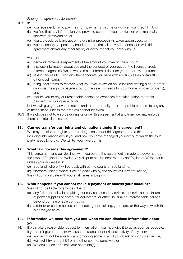Ending the agreement for breach

 $10.2$  If:

- (a) you repeatedly fail to pay minimum payments on time or go over your credit limit; or
- (b) we find that any information you provided as part of your application was materially incorrect or misleading; or
- (c) you are declared bankrupt or have similar proceedings taken against you; or
- (d) we reasonably suspect any fraud or other criminal activity in connection with this agreement and/or any other facility or account that you have with us;

we can:

- (i) demand immediate repayment of the amount you owe on the account;
- (ii) disclose information about you and the conduct of your account to licensed credit reference agencies (which would make it more difficult for you to borrow in future);
- (iii) restrict access to credit on other accounts you have with us (such as an overdraft or other credit cards);
- (iv) bring legal action to recover what you owe us (which could include getting a court order giving us the right to payment out of the sale proceeds for your home or other property); and
- (v) require you to pay our reasonable costs and expenses for taking action to obtain payment, including legal costs;

 but we will give you advance notice and the opportunity to fix the problem before taking any of these steps (unless the problem cannot be fixed).

10.3 If we choose not to enforce our rights under this agreement at any time, we may enforce them at a later date instead.

#### **11. Can we transfer our rights and obligations under this agreement?**

We may transfer our rights and our obligations under this agreement to a third party, including information about you and how you have managed your account which the third party needs to know. We will tell you if we do this.

#### **12. What law governs this agreement?**

 This agreement and our dealings with you before the agreement is made are governed by the laws of England and Wales. Any dispute can be dealt with by an English or Welsh court unless your address is in:

(a) Scotland (where it will be dealt with by the courts of Scotland); or

 (b) Northern Ireland (where it will be dealt with by the courts of Northern Ireland). We will communicate with you at all times in English.

#### **13. What happens if you cannot make a payment or access your account?**

We will not be liable for any loss due to:

- (a) any failure or delay in providing our service caused by strikes, industrial action, failure of power supplies or computer equipment, or other unusual or unforeseeable causes beyond our reasonable control; or
- (b) a retailer or cash machine not accepting, or retaining, your card, or the way in which this is conveyed to you.

#### **14. Information we need from you and when we can disclose information about you.**

- 14.1 If we make a reasonable request for information, you must give it to us as soon as possible. If you don't give it to us, or we suspect fraudulent or criminal activity of any kind:-
	- (a) You might not be able to carry on doing some or all of your banking with us anymore;
	- (b) we might try and get it from another source, ourselves; or
	- (c) We could block or close your accounts(s)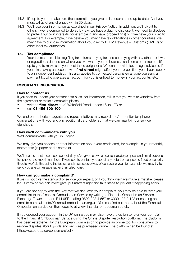- 14.2 It's up to you to make sure the information you give us is accurate and up to date. And you must tell us of any changes within 30 days.
- 14.3 We'll use your information as explained in our Privacy Notice. In addition, we'll give it to others if we're compelled to do so by law, we have a duty to disclose it, we need to disclose to protect our own interests (for example in any legal proceedings) or if we have your specific agreement. For example, if we believe you may have tax obligations in other countries, we may have to disclose information about you directly to HM Revenue & Customs (HMRC) or other local tax authorities.

#### **15. Tax compliance**

 Your tax responsibilities (eg filing tax returns, paying tax and complying with any other tax laws or regulations) depend on where you live, where you do business and some other factors. It's up to you to make sure you meet those obligations. We can't provide tax or legal advice so if you think having an account with **first direct** might affect your tax position, you should speak to an independent advisor. This also applies to connected persons eg anyone you send a payment to, who operates an account for you, is entitled to money in your account(s) etc.

#### **IMPORTANT INFORMATION**

#### **How to contact us**

If you need to update your contact details, ask for information, tell us that you want to withdraw from the agreement or make a complaint please:

- write to **first direct** at 40 Wakefield Road, Leeds LS98 1FD or
- call **03 456 100 100**

We and our authorised agents and representatives may record and/or monitor telephone conversations with you and any additional cardholder so that we can maintain our service standards.

#### **How we'll communicate with you**

We'll communicate with you in English.

We may give you notices or other information about your credit card, for example, in your monthly statements (in paper and electronic).

We'll use the most recent contact details you've given us which could include you post and email address, telephone and mobile numbers. If we need to contact you about any actual or suspected fraud or security threats, we'' do this using the fastest and most secure way of contacting you ( for example, we may try to send you a text message rather than telephone).

#### **How can you make a complaint?**

If we do not give the standard of service you expect, or if you think we have made a mistake, please let us know so we can investigate, put matters right and take steps to prevent it happening again.

If you are not happy with the way that we deal with your complaint, you may be able to refer your complaint to the Financial Ombudsman Service by writing to Financial Ombudsman Service, Exchange Tower, London E14 9SR, calling 0800 023 4 567 or 0300 123 9 123 or sending an email to complaint.info@financial-ombudsman.org.uk. You can find out more about the Financial Ombudsman service on their website at www.financial-ombudsman.co.uk.

If you opened your account in the UK online you may also have the option to refer your complaint to the Financial Ombudsman Service using the Online Dispute Resolution platform. The platform has been established by the European Commission to provide an online tool for consumers to resolve disputes about goods and services purchased online. The platform can be found at https://ec.europa.eu/consumers/odr/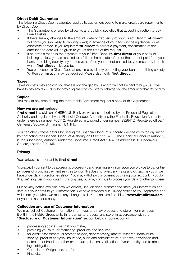#### **Direct Debit Guarantee**

The following Direct Debit guarantee applies to customers opting to make credit card repayments by Direct Debit.

- The Guarantee is offered by all banks and building societies that accept instruction to pay Direct Debits.
- If there are any changes to the amount, date or frequency of your Direct Debit **first direct** will notify you (normally 10 working days) in advance of your account being debited or as otherwise agreed. If you request **first direct** to collect a payment, confirmation of the amount and date will be given to you at the time of the request.
- If an error is made in the payment of your Direct Debit, by **first direct** or your bank or building society, you are entitled to a full and immediate refund of the amount paid from your bank or building society. If you receive a refund you are not entitled to, you must pay it back when **first direct** asks you to.
- You can cancel a Direct Debit at any time by simply contacting your bank or building society. Written confirmation may be required. Please also notify **first direct**.

#### **Taxes**

Taxes or costs may apply to you that are not charged by us and/or will not be paid through us. If we have to pay any tax or duty for providing credit to you, we will charge you the amount of that tax or duty.

#### **Copies**

You may at any time during the term of this Agreement request a copy of this Agreement.

#### **How we are authorised**

**first direct** is a division of HSBC UK Bank plc which is authorised by the Prudential Regulation Authority and regulated by the Financial Conduct Authority and the Prudential Regulation Authority under reference number 765112. Registered in England under number 9928412. Registered office: 1 Centenary Square, Birmingham B1 1HQ.

You can check these details by visiting the Financial Conduct Authority website www.fca.org.uk or by contacting the Financial Conduct Authority on 0800 111 6768. The Financial Conduct Authority is the supervisory authority under the Consumer Credit Act 1974. Its address is 12 Endeavour Square, London E20 1JN.

#### **Privacy**

Your privacy is important to **first direct**.

You explicitly consent to us accessing, processing, and retaining any information you provide to us, for the purposes of providing payment services to you. This does not affect any rights and obligations you or we have under data protection legislation. You may withdraw this consent by closing your account. If you do this, we'll stop using your data for this purpose, but may continue to process your data for other purposes.

Our privacy notice explains how we collect, use, disclose, transfer and store your information and sets out your rights to your information. We have provided our Privacy Notice to you separately and will inform you when we make any changes to it. You can also find this at **www.firstdirect.com** or you can ask for a copy.

#### **Collection and use of Customer Information**

We may collect Customer Information from you, and may process and store it (or may pass it within the HSBC Group or to third parties to process and store) in accordance with the "**Disclosure of Customer Information**" section below in connection with:

- processing applications that you make,
- providing you with, or marketing, products and services,
- for credit assessment, customer service, debt recovery, market research, behavioural scoring, product analysis, insurance, audit and administrative purposes, prevention and detection of fraud and other crime, tax collection, verification of your identity and to meet our legal obligations,
- Compliance Obligations, and/or
- Financial.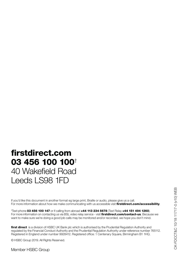## **firstdirect.com 03 456 100 100**† 40 Wakefield Road Leeds LS98 1FD

If you'd like this document in another format eg large print, Braille or audio, please give us a call. For more information about how we make communicating with us accessible visit **firstdirect.com/accessibility**.

† Text-phone **03 456 100 147** or if calling from abroad **+44 113 234 5678** (Text Relay **+44 151 494 1260**). For more information on contacting us via BSL video relay service - visit **firstdirect.com/contact-us**. Because we want to make sure we're doing a good job calls may be monitored and/or recorded, we hope you don't mind.

**first direct** is a division of HSBC UK Bank plc which is authorised by the Prudential Regulation Authority and regulated by the Financial Conduct Authority and the Prudential Regulation Authority under reference number 765112. Registered in England under number 9928412. Registered office: 1 Centenary Square, Birmingham B1 1HQ.

© HSBC Group 2019. All Rights Reserved.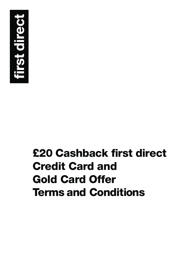

# **£20 Cashback first direct Credit Card and Gold Card Offer Terms and Conditions**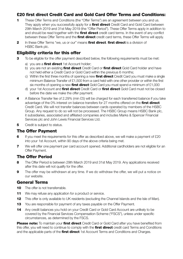#### **£20 first direct Credit Card and Gold Card Offer Terms and Conditions:**

- **1** These Offer Terms and Conditions (the "Offer Terms") are an agreement between you and us. They apply when you successfully apply for a **first direct** Credit Card and Gold Card between 29th March 2019 and 31st May 2019 (the "Offer Period"). These Offer Terms apply in addition to and should be read together with the **first direct** credit card terms. In the event of any conflict between these Offer Terms and the **first direct** credit card terms, these Offer Terms will apply.
- **2** In these Offer Terms "we, us or our" means **first direct**. **first direct** is a division of HSBC Bank plc.

#### **Eligibility criteria for this offer**

- **3** To be eligible for the offer payment described below, the following requirements must be met:
	- a) you are a **first direct** 1st Account holder;
	- b) you are not an existing **first direct** Credit Card or **first direct** Gold Card holder and have not held either a Credit Card or Gold Card within the previous 6 months;
	- c) Within the first three months of opening a new **first direct** Credit Card you must make a single minimum Balance Transfer of £1,500 from a card held with one other provider or within the first six months of opening a new **first direct** Gold Card you must spend a minimum of £1,000
	- d) your 1st Account and **first direct** Credit Card or **first direct** Gold Card must not be closed before the date we make the offer payment.
- **4** A Balance Transfer fee of 2.29% (min £5) will be charged for each transferred balance if you take advantage of the 0% interest on balance transfers for 27 months offered on the **first direct** Credit Card. We will not transfer balances between cards operated by members of the HSBC Group. Any request to do so will not be processed. The HSBC Group means HSBC Bank plc, it subsidiaries, associated and affiliated companies and includes Marks & Spencer Financial Services plc and John Lewis Financial Services Ltd.
- **5** Credit is subject to status.

#### **The Offer Payment**

- **6** If you meet the requirements for this offer as described above, we will make a payment of £20 into your 1st Account, within 90 days of the above criteria being met.
- **7** We will offer one payment per card account opened. Additional cardholders are not eligible for an Offer Payment.

#### **The Offer Period**

- **8** The Offer Period is between 29th March 2019 and 31st May 2019. Any applications received after this date will not qualify for the offer.
- **9** The offer may be withdrawn at any time. If we do withdraw the offer, we will put a notice on our website.

#### **General Terms**

- **10** The offer is not transferrable.
- **11** We may refuse any application for a product or service.
- **12** This offer is only available to UK residents (excluding the Channel Islands and the Isle of Man).
- **13** You are responsible for payment of any taxes payable on the Offer Payment.
- **14** Any credit balances you hold on your Credit Card or Gold Card Account are unlikely to be covered by the Financial Services Compensation Scheme ("FSCS"), unless under specific circumstances, as determined by the FSCS.

**Please note:** To maintain your **first direct** Credit Card or Gold Card after you have benefited from this offer, you will need to continue to comply with the **first direct** credit card Terms and Conditions and the applicable parts of the **first direct** 1st Account Terms and Conditions and Charges.